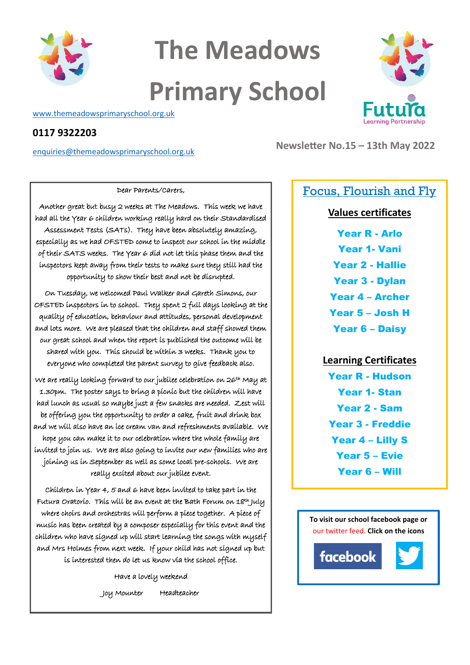

## **The Meadows Primary School**

[www.themeadowsprimaryschool.org.uk](http://www.themeadowsprimaryschool.org.uk/)

### **0117 9322203**

[enquiries@themeadowsprimaryschool.org.uk](mailto:enquiries@themeadowsprimaryschool.org.uk)

**Newsletter No.15 – 13th May 2022**

### Dear Parents/Carers,

Another great but busy 2 weeks at The Meadows. This week we have had all the Year 6 children working really hard on their Standardised Assessment Tests (SATs). They have been absolutely amazing, especially as we had OFSTED come to inspect our school in the middle of their SATS weeks. The Year 6 did not let this phase them and the inspectors kept away from their tests to make sure they still had the opportunity to show their best and not be disrupted.

On Tuesday, we welcomed Paul Walker and Gareth Simons, our OFSTED inspectors in to school. They spent 2 full days looking at the quality of education, behaviour and attitudes, personal development and lots more. We are pleased that the children and staff showed them our great school and when the report is published the outcome will be shared with you. This should be within 3 weeks. Thank you to everyone who completed the parent survey to give feedback also.

We are really looking forward to our jubilee celebration on 26th May at 1.30pm. The poster says to bring a picnic but the children will have had lunch as usual so maybe just a few snacks are needed. Zest will be offering you the opportunity to order a cake, fruit and drink box and we will also have an ice cream van and refreshments available. We hope you can make it to our celebration where the whole family are invited to join us. We are also going to invite our new families who are joining us in September as well as some local pre-schools. We are really excited about our jubilee event.

Children in Year 4, 5 and 6 have been invited to take part in the Futura Oratorío. Thís wíll be an event at the Bath Forum on 18<sup>th</sup> July where choirs and orchestras will perform a piece together. A piece of music has been created by a composer especially for this event and the children who have signed up will start learning the songs with myself and Mrs Holmes from next week. If your child has not signed up but is interested then do let us know via the school office.

> Have a lovely weekend Joy Mounter Headteacher

## Focus, Flourish and Fly

### **Values certificates**

Year R - Arlo Year 1- Vani Year 2 - Hallie Year 3 - Dylan Year 4 – Archer Year 5 – Josh H

Year 6 – Daisy

**Learning Certificates** Year R - Hudson Year 1- Stan Year 2 - Sam Year 3 - Freddie Year 4 – Lilly S Year 5 – Evie Year 6 – Will

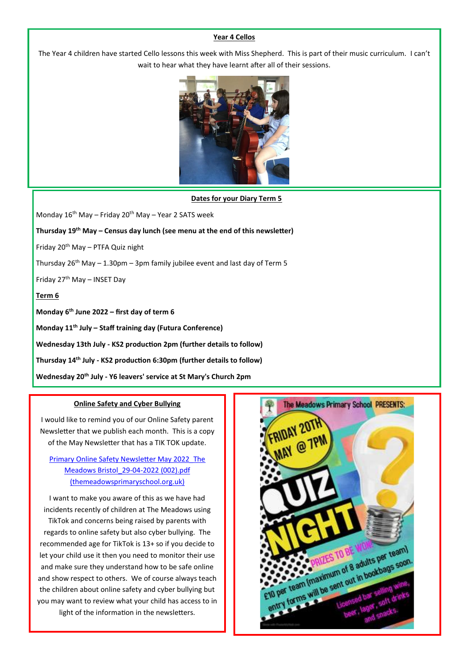#### **Year 4 Cellos**

The Year 4 children have started Cello lessons this week with Miss Shepherd. This is part of their music curriculum. I can't wait to hear what they have learnt after all of their sessions.



#### **Dates for your Diary Term 5**

Monday  $16^{th}$  May – Friday 20<sup>th</sup> May – Year 2 SATS week

**Thursday 19th May – Census day lunch (see menu at the end of this newsletter)**

Friday 20th May – PTFA Quiz night

Thursday  $26^{th}$  May  $-1.30$ pm  $-3$ pm family jubilee event and last day of Term 5

Friday  $27<sup>th</sup>$  May – INSET Day

### **Term 6**

**Monday 6 th June 2022 – first day of term 6**

**Monday 11th July – Staff training day (Futura Conference)**

**Wednesday 13th July - KS2 production 2pm (further details to follow)**

**Thursday 14th July - KS2 production 6:30pm (further details to follow)**

**Wednesday 20th July - Y6 leavers' service at St Mary's Church 2pm**

#### **Online Safety and Cyber Bullying**

I would like to remind you of our Online Safety parent Newsletter that we publish each month. This is a copy of the May Newsletter that has a TIK TOK update.

[Primary Online Safety Newsletter May 2022\\_The](https://www.themeadowsprimaryschool.org.uk/assets/uploads/Documents/Online-Safety/Primary%20Online%20Safety%20Newsletter%20May%202022_The%20Meadows%20Bristol_29-04-2022%20(002).pdf)  [Meadows Bristol\\_29-04-2022 \(002\).pdf](https://www.themeadowsprimaryschool.org.uk/assets/uploads/Documents/Online-Safety/Primary%20Online%20Safety%20Newsletter%20May%202022_The%20Meadows%20Bristol_29-04-2022%20(002).pdf)  [\(themeadowsprimaryschool.org.uk\)](https://www.themeadowsprimaryschool.org.uk/assets/uploads/Documents/Online-Safety/Primary%20Online%20Safety%20Newsletter%20May%202022_The%20Meadows%20Bristol_29-04-2022%20(002).pdf)

I want to make you aware of this as we have had incidents recently of children at The Meadows using TikTok and concerns being raised by parents with regards to online safety but also cyber bullying. The recommended age for TikTok is 13+ so if you decide to let your child use it then you need to monitor their use and make sure they understand how to be safe online and show respect to others. We of course always teach the children about online safety and cyber bullying but you may want to review what your child has access to in light of the information in the newsletters.

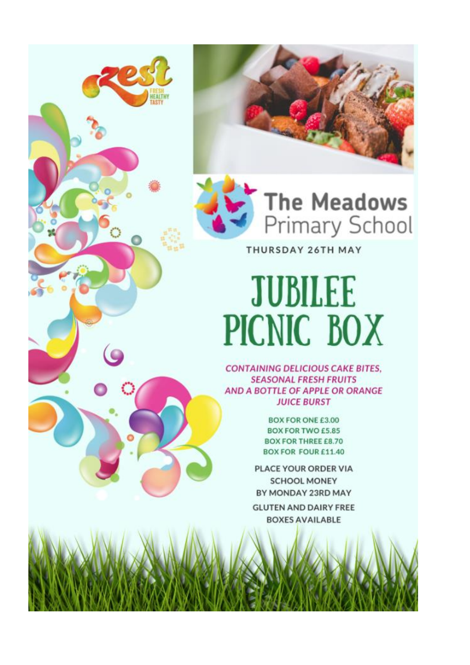

**HEALTH** 

THURSDAY 26TH MAY

## **JUBILEE** PICNIC BOX

**CONTAINING DELICIOUS CAKE BITES. SEASONAL FRESH FRUITS** AND A BOTTLE OF APPLE OR ORANGE **JUICE BURST** 

> **BOX FOR ONE £3.00 BOX FOR TWO £5.85 BOX FOR THREE £8.70 BOX FOR FOUR £11.40**

PLACE YOUR ORDER VIA **SCHOOL MONEY** BY MONDAY 23RD MAY **GLUTEN AND DAIRY FREE BOXES AVAILABLE**